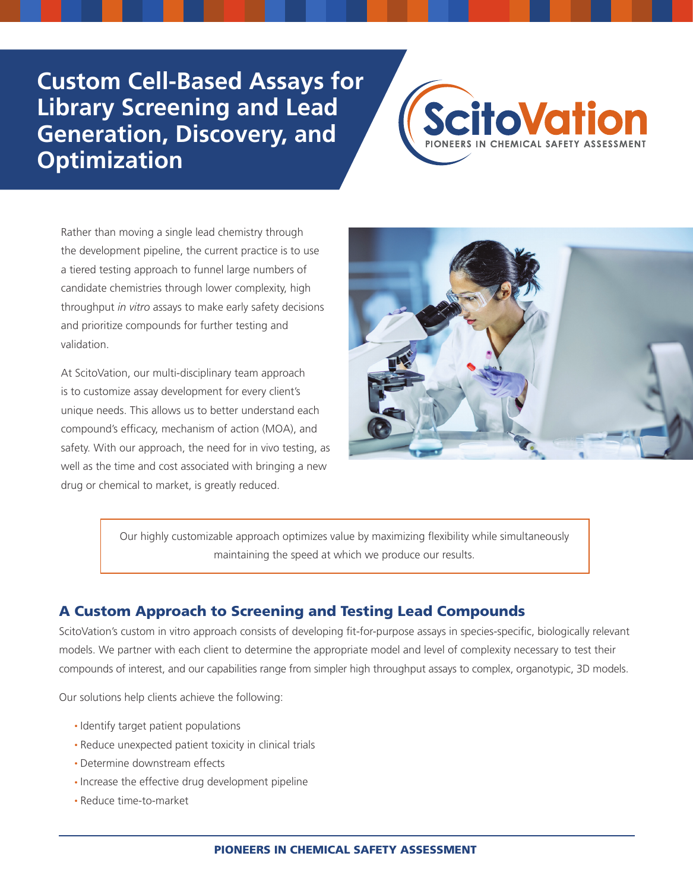# **Custom Cell-Based Assays for Library Screening and Lead Generation, Discovery, and Optimization**



Rather than moving a single lead chemistry through the development pipeline, the current practice is to use a tiered testing approach to funnel large numbers of candidate chemistries through lower complexity, high throughput *in vitro* assays to make early safety decisions and prioritize compounds for further testing and validation.

At ScitoVation, our multi-disciplinary team approach is to customize assay development for every client's unique needs. This allows us to better understand each compound's efficacy, mechanism of action (MOA), and safety. With our approach, the need for in vivo testing, as well as the time and cost associated with bringing a new drug or chemical to market, is greatly reduced.



Our highly customizable approach optimizes value by maximizing flexibility while simultaneously maintaining the speed at which we produce our results.

## A Custom Approach to Screening and Testing Lead Compounds

ScitoVation's custom in vitro approach consists of developing fit-for-purpose assays in species-specific, biologically relevant models. We partner with each client to determine the appropriate model and level of complexity necessary to test their compounds of interest, and our capabilities range from simpler high throughput assays to complex, organotypic, 3D models.

Our solutions help clients achieve the following:

- Identify target patient populations
- Reduce unexpected patient toxicity in clinical trials
- Determine downstream effects
- Increase the effective drug development pipeline
- Reduce time-to-market